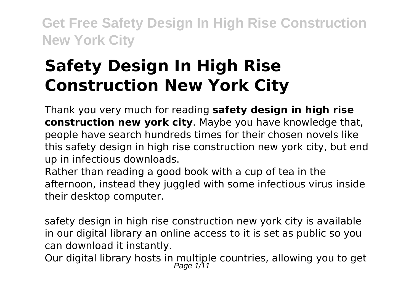# **Safety Design In High Rise Construction New York City**

Thank you very much for reading **safety design in high rise construction new york city**. Maybe you have knowledge that, people have search hundreds times for their chosen novels like this safety design in high rise construction new york city, but end up in infectious downloads.

Rather than reading a good book with a cup of tea in the afternoon, instead they juggled with some infectious virus inside their desktop computer.

safety design in high rise construction new york city is available in our digital library an online access to it is set as public so you can download it instantly.

Our digital library hosts in multiple countries, allowing you to get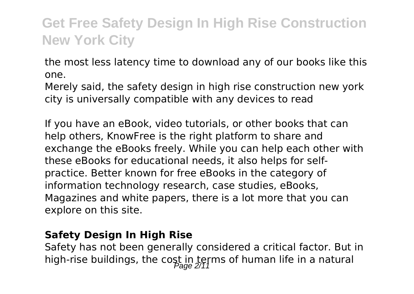the most less latency time to download any of our books like this one.

Merely said, the safety design in high rise construction new york city is universally compatible with any devices to read

If you have an eBook, video tutorials, or other books that can help others, KnowFree is the right platform to share and exchange the eBooks freely. While you can help each other with these eBooks for educational needs, it also helps for selfpractice. Better known for free eBooks in the category of information technology research, case studies, eBooks, Magazines and white papers, there is a lot more that you can explore on this site.

### **Safety Design In High Rise**

Safety has not been generally considered a critical factor. But in high-rise buildings, the cost in terms of human life in a natural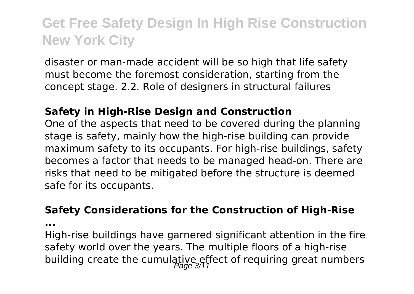disaster or man-made accident will be so high that life safety must become the foremost consideration, starting from the concept stage. 2.2. Role of designers in structural failures

#### **Safety in High-Rise Design and Construction**

One of the aspects that need to be covered during the planning stage is safety, mainly how the high-rise building can provide maximum safety to its occupants. For high-rise buildings, safety becomes a factor that needs to be managed head-on. There are risks that need to be mitigated before the structure is deemed safe for its occupants.

#### **Safety Considerations for the Construction of High-Rise**

**...**

High-rise buildings have garnered significant attention in the fire safety world over the years. The multiple floors of a high-rise building create the cumulative effect of requiring great numbers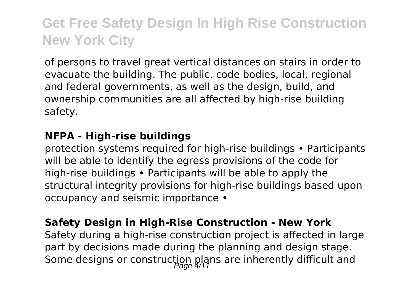of persons to travel great vertical distances on stairs in order to evacuate the building. The public, code bodies, local, regional and federal governments, as well as the design, build, and ownership communities are all affected by high-rise building safety.

#### **NFPA - High-rise buildings**

protection systems required for high‐rise buildings • Participants will be able to identify the egress provisions of the code for high-rise buildings • Participants will be able to apply the structural integrity provisions for high-rise buildings based upon occupancy and seismic importance •

### **Safety Design in High‐Rise Construction - New York**

Safety during a high-rise construction project is affected in large part by decisions made during the planning and design stage. Some designs or construction plans are inherently difficult and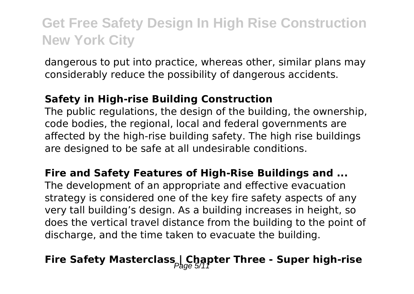dangerous to put into practice, whereas other, similar plans may considerably reduce the possibility of dangerous accidents.

### **Safety in High-rise Building Construction**

The public regulations, the design of the building, the ownership, code bodies, the regional, local and federal governments are affected by the high-rise building safety. The high rise buildings are designed to be safe at all undesirable conditions.

### **Fire and Safety Features of High-Rise Buildings and ...**

The development of an appropriate and effective evacuation strategy is considered one of the key fire safety aspects of any very tall building's design. As a building increases in height, so does the vertical travel distance from the building to the point of discharge, and the time taken to evacuate the building.

# **Fire Safety Masterclass Chapter Three - Super high-rise**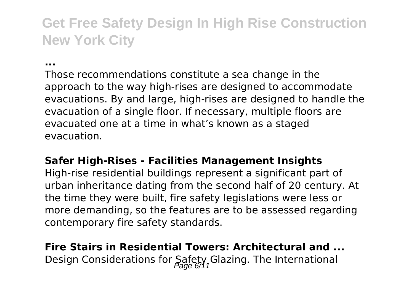#### **...**

Those recommendations constitute a sea change in the approach to the way high-rises are designed to accommodate evacuations. By and large, high-rises are designed to handle the evacuation of a single floor. If necessary, multiple floors are evacuated one at a time in what's known as a staged evacuation.

#### **Safer High-Rises - Facilities Management Insights**

High-rise residential buildings represent a significant part of urban inheritance dating from the second half of 20 century. At the time they were built, fire safety legislations were less or more demanding, so the features are to be assessed regarding contemporary fire safety standards.

### **Fire Stairs in Residential Towers: Architectural and ...** Design Considerations for Safety Glazing. The International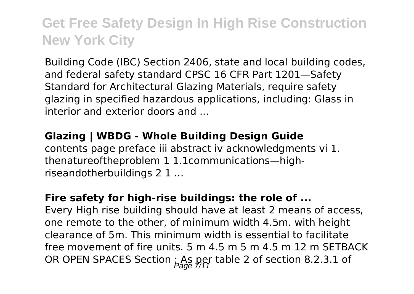Building Code (IBC) Section 2406, state and local building codes, and federal safety standard CPSC 16 CFR Part 1201—Safety Standard for Architectural Glazing Materials, require safety glazing in specified hazardous applications, including: Glass in interior and exterior doors and ...

### **Glazing | WBDG - Whole Building Design Guide** contents page preface iii abstract iv acknowledgments vi 1. thenatureoftheproblem 1 1.1communications—highriseandotherbuildings 2 1 ...

### **Fire safety for high-rise buildings: the role of ...**

Every High rise building should have at least 2 means of access, one remote to the other, of minimum width 4.5m. with height clearance of 5m. This minimum width is essential to facilitate free movement of fire units. 5 m 4.5 m 5 m 4.5 m 12 m SETBACK OR OPEN SPACES Section : As per table 2 of section 8.2.3.1 of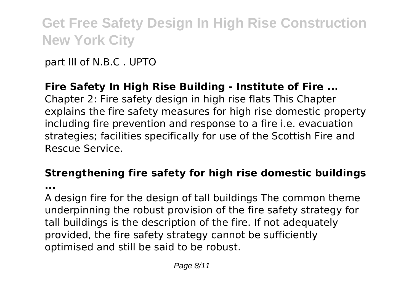part III of N.B.C . UPTO

### **Fire Safety In High Rise Building - Institute of Fire ...**

Chapter 2: Fire safety design in high rise flats This Chapter explains the fire safety measures for high rise domestic property including fire prevention and response to a fire i.e. evacuation strategies; facilities specifically for use of the Scottish Fire and Rescue Service.

#### **Strengthening fire safety for high rise domestic buildings ...**

A design fire for the design of tall buildings The common theme underpinning the robust provision of the fire safety strategy for tall buildings is the description of the fire. If not adequately provided, the fire safety strategy cannot be sufficiently optimised and still be said to be robust.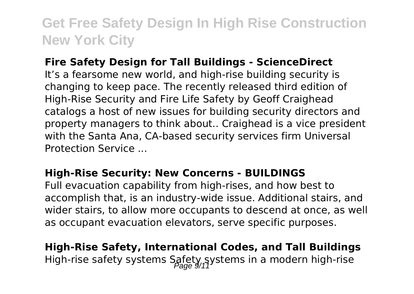### **Fire Safety Design for Tall Buildings - ScienceDirect**

It's a fearsome new world, and high-rise building security is changing to keep pace. The recently released third edition of High-Rise Security and Fire Life Safety by Geoff Craighead catalogs a host of new issues for building security directors and property managers to think about.. Craighead is a vice president with the Santa Ana, CA-based security services firm Universal Protection Service ...

#### **High-Rise Security: New Concerns - BUILDINGS**

Full evacuation capability from high-rises, and how best to accomplish that, is an industry-wide issue. Additional stairs, and wider stairs, to allow more occupants to descend at once, as well as occupant evacuation elevators, serve specific purposes.

**High-Rise Safety, International Codes, and Tall Buildings** High-rise safety systems Safety systems in a modern high-rise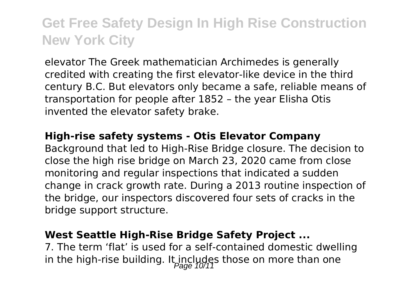elevator The Greek mathematician Archimedes is generally credited with creating the first elevator-like device in the third century B.C. But elevators only became a safe, reliable means of transportation for people after 1852 – the year Elisha Otis invented the elevator safety brake.

#### **High-rise safety systems - Otis Elevator Company**

Background that led to High-Rise Bridge closure. The decision to close the high rise bridge on March 23, 2020 came from close monitoring and regular inspections that indicated a sudden change in crack growth rate. During a 2013 routine inspection of the bridge, our inspectors discovered four sets of cracks in the bridge support structure.

#### **West Seattle High-Rise Bridge Safety Project ...**

7. The term 'flat' is used for a self-contained domestic dwelling in the high-rise building. It includes those on more than one